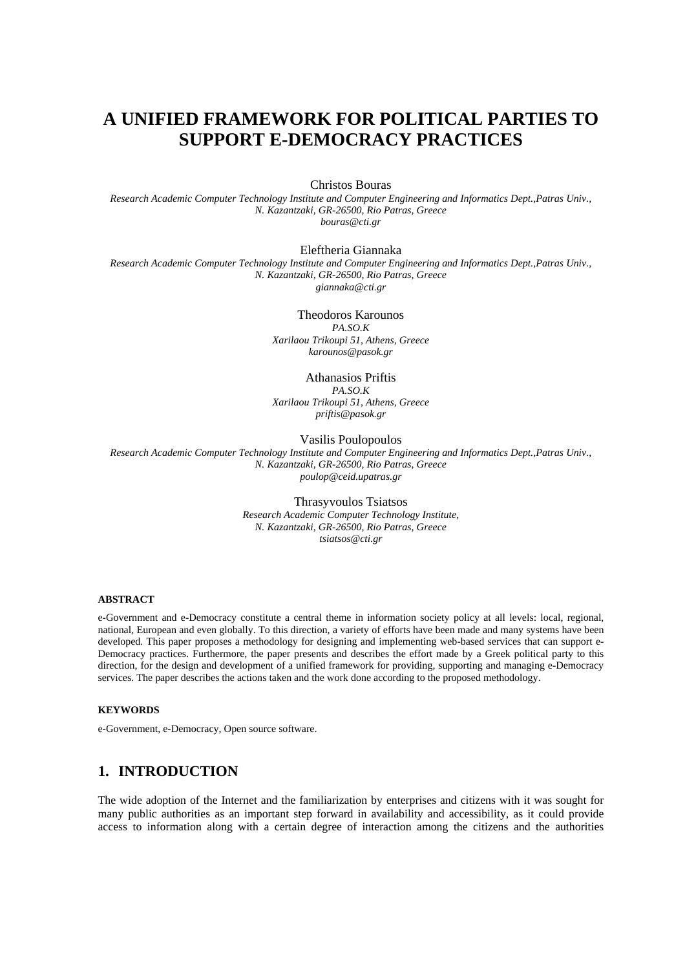# **A UNIFIED FRAMEWORK FOR POLITICAL PARTIES TO SUPPORT E-DEMOCRACY PRACTICES**

Christos Bouras

*Research Academic Computer Technology Institute and Computer Engineering and Informatics Dept.,Patras Univ., N. Kazantzaki, GR-26500, Rio Patras, Greece bouras@cti.gr* 

#### Eleftheria Giannaka

*Research Academic Computer Technology Institute and Computer Engineering and Informatics Dept.,Patras Univ., N. Kazantzaki, GR-26500, Rio Patras, Greece giannaka@cti.gr* 

> Theodoros Karounos *PA.SO.K Xarilaou Trikoupi 51, Athens, Greece karounos@pasok.gr*

#### Athanasios Priftis

*PA.SO.K Xarilaou Trikoupi 51, Athens, Greece priftis@pasok.gr* 

Vasilis Poulopoulos

*Research Academic Computer Technology Institute and Computer Engineering and Informatics Dept.,Patras Univ., N. Kazantzaki, GR-26500, Rio Patras, Greece poulop@ceid.upatras.gr* 

> Thrasyvoulos Tsiatsos *Research Academic Computer Technology Institute, N. Kazantzaki, GR-26500, Rio Patras, Greece tsiatsos@cti.gr*

#### **ABSTRACT**

e-Government and e-Democracy constitute a central theme in information society policy at all levels: local, regional, national, European and even globally. To this direction, a variety of efforts have been made and many systems have been developed. This paper proposes a methodology for designing and implementing web-based services that can support e-Democracy practices. Furthermore, the paper presents and describes the effort made by a Greek political party to this direction, for the design and development of a unified framework for providing, supporting and managing e-Democracy services. The paper describes the actions taken and the work done according to the proposed methodology.

#### **KEYWORDS**

e-Government, e-Democracy, Open source software.

# **1. INTRODUCTION**

The wide adoption of the Internet and the familiarization by enterprises and citizens with it was sought for many public authorities as an important step forward in availability and accessibility, as it could provide access to information along with a certain degree of interaction among the citizens and the authorities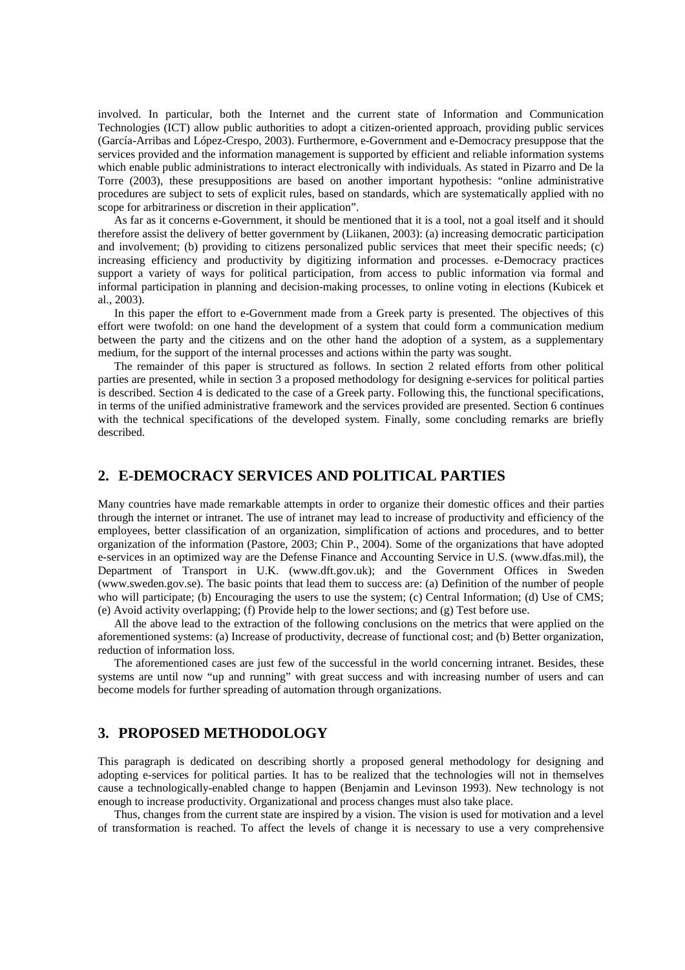involved. In particular, both the Internet and the current state of Information and Communication Technologies (ICT) allow public authorities to adopt a citizen-oriented approach, providing public services (García-Arribas and López-Crespo, 2003). Furthermore, e-Government and e-Democracy presuppose that the services provided and the information management is supported by efficient and reliable information systems which enable public administrations to interact electronically with individuals. As stated in Pizarro and De la Torre (2003), these presuppositions are based on another important hypothesis: "online administrative procedures are subject to sets of explicit rules, based on standards, which are systematically applied with no scope for arbitrariness or discretion in their application".

As far as it concerns e-Government, it should be mentioned that it is a tool, not a goal itself and it should therefore assist the delivery of better government by (Liikanen, 2003): (a) increasing democratic participation and involvement; (b) providing to citizens personalized public services that meet their specific needs; (c) increasing efficiency and productivity by digitizing information and processes. e-Democracy practices support a variety of ways for political participation, from access to public information via formal and informal participation in planning and decision-making processes, to online voting in elections (Kubicek et al., 2003).

In this paper the effort to e-Government made from a Greek party is presented. The objectives of this effort were twofold: on one hand the development of a system that could form a communication medium between the party and the citizens and on the other hand the adoption of a system, as a supplementary medium, for the support of the internal processes and actions within the party was sought.

The remainder of this paper is structured as follows. In section 2 related efforts from other political parties are presented, while in section 3 a proposed methodology for designing e-services for political parties is described. Section 4 is dedicated to the case of a Greek party. Following this, the functional specifications, in terms of the unified administrative framework and the services provided are presented. Section 6 continues with the technical specifications of the developed system. Finally, some concluding remarks are briefly described.

# **2. E-DEMOCRACY SERVICES AND POLITICAL PARTIES**

Many countries have made remarkable attempts in order to organize their domestic offices and their parties through the internet or intranet. The use of intranet may lead to increase of productivity and efficiency of the employees, better classification of an organization, simplification of actions and procedures, and to better organization of the information (Pastore, 2003; Chin P., 2004). Some of the organizations that have adopted e-services in an optimized way are the Defense Finance and Accounting Service in U.S. (www.dfas.mil), the Department of Transport in U.K. (www.dft.gov.uk); and the Government Offices in Sweden (www.sweden.gov.se). The basic points that lead them to success are: (a) Definition of the number of people who will participate; (b) Encouraging the users to use the system; (c) Central Information; (d) Use of CMS; (e) Avoid activity overlapping; (f) Provide help to the lower sections; and (g) Test before use.

All the above lead to the extraction of the following conclusions on the metrics that were applied on the aforementioned systems: (a) Increase of productivity, decrease of functional cost; and (b) Better organization, reduction of information loss.

The aforementioned cases are just few of the successful in the world concerning intranet. Besides, these systems are until now "up and running" with great success and with increasing number of users and can become models for further spreading of automation through organizations.

# **3. PROPOSED METHODOLOGY**

This paragraph is dedicated on describing shortly a proposed general methodology for designing and adopting e-services for political parties. It has to be realized that the technologies will not in themselves cause a technologically-enabled change to happen (Benjamin and Levinson 1993). New technology is not enough to increase productivity. Organizational and process changes must also take place.

Thus, changes from the current state are inspired by a vision. The vision is used for motivation and a level of transformation is reached. To affect the levels of change it is necessary to use a very comprehensive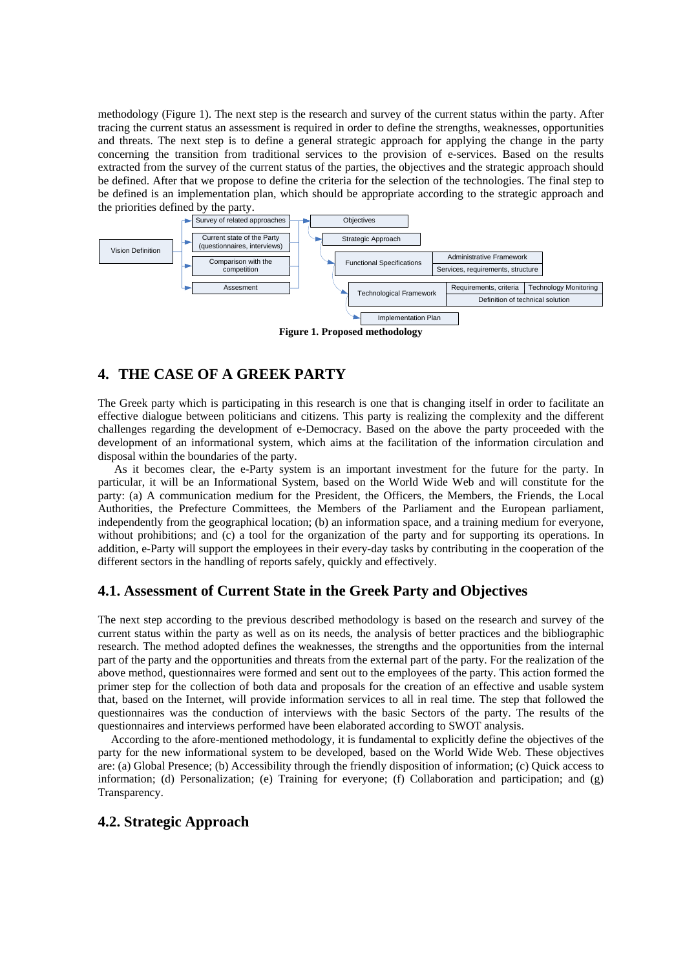methodology [\(Figure 1\)](#page-2-0). The next step is the research and survey of the current status within the party. After tracing the current status an assessment is required in order to define the strengths, weaknesses, opportunities and threats. The next step is to define a general strategic approach for applying the change in the party concerning the transition from traditional services to the provision of e-services. Based on the results extracted from the survey of the current status of the parties, the objectives and the strategic approach should be defined. After that we propose to define the criteria for the selection of the technologies. The final step to be defined is an implementation plan, which should be appropriate according to the strategic approach and the priorities defined by the party.



<span id="page-2-0"></span>**Figure 1. Proposed methodology**

# **4. THE CASE OF A GREEK PARTY**

The Greek party which is participating in this research is one that is changing itself in order to facilitate an effective dialogue between politicians and citizens. This party is realizing the complexity and the different challenges regarding the development of e-Democracy. Based on the above the party proceeded with the development of an informational system, which aims at the facilitation of the information circulation and disposal within the boundaries of the party.

As it becomes clear, the e-Party system is an important investment for the future for the party. In particular, it will be an Informational System, based on the World Wide Web and will constitute for the party: (a) A communication medium for the President, the Officers, the Members, the Friends, the Local Authorities, the Prefecture Committees, the Members of the Parliament and the European parliament, independently from the geographical location; (b) an information space, and a training medium for everyone, without prohibitions; and (c) a tool for the organization of the party and for supporting its operations. In addition, e-Party will support the employees in their every-day tasks by contributing in the cooperation of the different sectors in the handling of reports safely, quickly and effectively.

### **4.1. Assessment of Current State in the Greek Party and Objectives**

The next step according to the previous described methodology is based on the research and survey of the current status within the party as well as on its needs, the analysis of better practices and the bibliographic research. The method adopted defines the weaknesses, the strengths and the opportunities from the internal part of the party and the opportunities and threats from the external part of the party. For the realization of the above method, questionnaires were formed and sent out to the employees of the party. This action formed the primer step for the collection of both data and proposals for the creation of an effective and usable system that, based on the Internet, will provide information services to all in real time. The step that followed the questionnaires was the conduction of interviews with the basic Sectors of the party. The results of the questionnaires and interviews performed have been elaborated according to SWOT analysis.

According to the afore-mentioned methodology, it is fundamental to explicitly define the objectives of the party for the new informational system to be developed, based on the World Wide Web. These objectives are: (a) Global Presence; (b) Accessibility through the friendly disposition of information; (c) Quick access to information; (d) Personalization; (e) Training for everyone; (f) Collaboration and participation; and (g) Transparency.

### **4.2. Strategic Approach**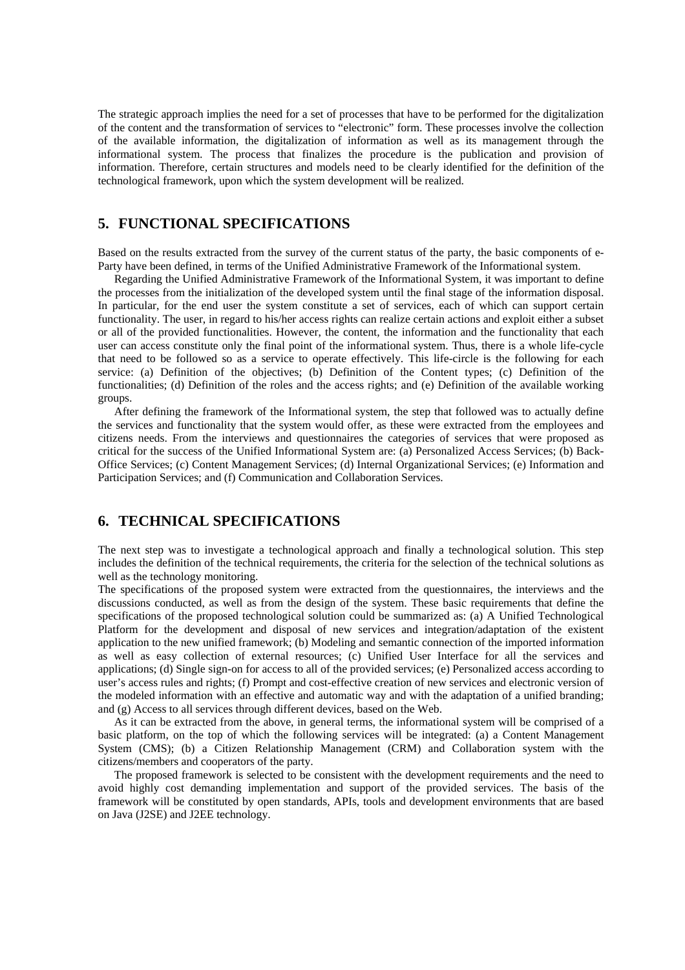The strategic approach implies the need for a set of processes that have to be performed for the digitalization of the content and the transformation of services to "electronic" form. These processes involve the collection of the available information, the digitalization of information as well as its management through the informational system. The process that finalizes the procedure is the publication and provision of information. Therefore, certain structures and models need to be clearly identified for the definition of the technological framework, upon which the system development will be realized.

# **5. FUNCTIONAL SPECIFICATIONS**

Based on the results extracted from the survey of the current status of the party, the basic components of e-Party have been defined, in terms of the Unified Administrative Framework of the Informational system.

Regarding the Unified Administrative Framework of the Informational System, it was important to define the processes from the initialization of the developed system until the final stage of the information disposal. In particular, for the end user the system constitute a set of services, each of which can support certain functionality. The user, in regard to his/her access rights can realize certain actions and exploit either a subset or all of the provided functionalities. However, the content, the information and the functionality that each user can access constitute only the final point of the informational system. Thus, there is a whole life-cycle that need to be followed so as a service to operate effectively. This life-circle is the following for each service: (a) Definition of the objectives; (b) Definition of the Content types; (c) Definition of the functionalities; (d) Definition of the roles and the access rights; and (e) Definition of the available working groups.

After defining the framework of the Informational system, the step that followed was to actually define the services and functionality that the system would offer, as these were extracted from the employees and citizens needs. From the interviews and questionnaires the categories of services that were proposed as critical for the success of the Unified Informational System are: (a) Personalized Access Services; (b) Back-Office Services; (c) Content Management Services; (d) Internal Organizational Services; (e) Information and Participation Services; and (f) Communication and Collaboration Services.

# **6. TECHNICAL SPECIFICATIONS**

The next step was to investigate a technological approach and finally a technological solution. This step includes the definition of the technical requirements, the criteria for the selection of the technical solutions as well as the technology monitoring.

The specifications of the proposed system were extracted from the questionnaires, the interviews and the discussions conducted, as well as from the design of the system. These basic requirements that define the specifications of the proposed technological solution could be summarized as: (a) A Unified Technological Platform for the development and disposal of new services and integration/adaptation of the existent application to the new unified framework; (b) Modeling and semantic connection of the imported information as well as easy collection of external resources; (c) Unified User Interface for all the services and applications; (d) Single sign-on for access to all of the provided services; (e) Personalized access according to user's access rules and rights; (f) Prompt and cost-effective creation of new services and electronic version of the modeled information with an effective and automatic way and with the adaptation of a unified branding; and (g) Access to all services through different devices, based on the Web.

As it can be extracted from the above, in general terms, the informational system will be comprised of a basic platform, on the top of which the following services will be integrated: (a) a Content Management System (CMS); (b) a Citizen Relationship Management (CRM) and Collaboration system with the citizens/members and cooperators of the party.

The proposed framework is selected to be consistent with the development requirements and the need to avoid highly cost demanding implementation and support of the provided services. The basis of the framework will be constituted by open standards, APIs, tools and development environments that are based on Java (J2SE) and J2EE technology.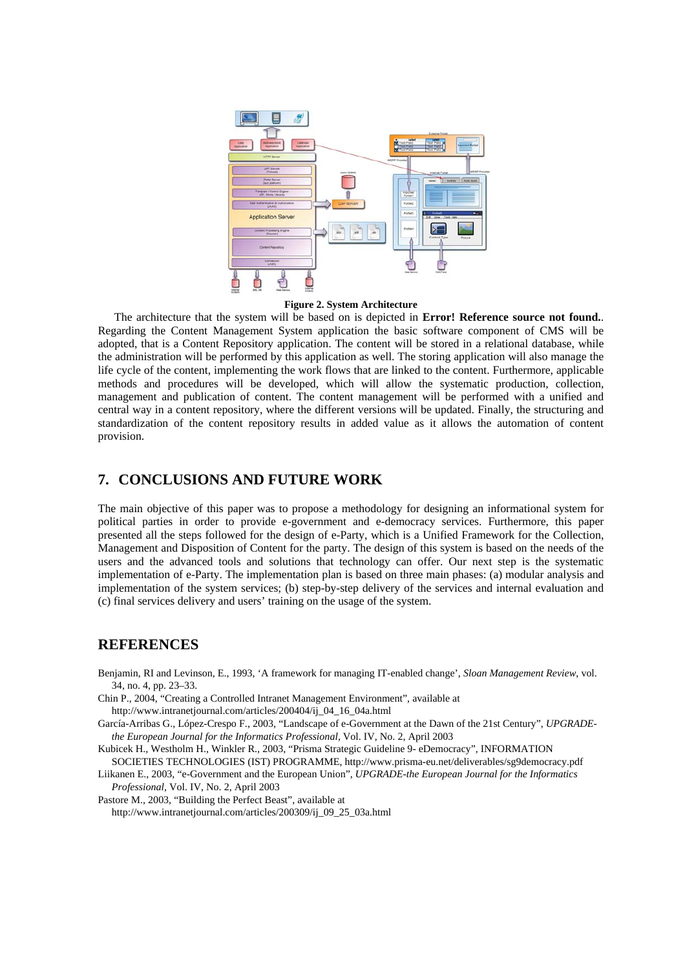

**Figure 2. System Architecture**

The architecture that the system will be based on is depicted in **Error! Reference source not found.**. Regarding the Content Management System application the basic software component of CMS will be adopted, that is a Content Repository application. The content will be stored in a relational database, while the administration will be performed by this application as well. The storing application will also manage the life cycle of the content, implementing the work flows that are linked to the content. Furthermore, applicable methods and procedures will be developed, which will allow the systematic production, collection, management and publication of content. The content management will be performed with a unified and central way in a content repository, where the different versions will be updated. Finally, the structuring and standardization of the content repository results in added value as it allows the automation of content provision.

# **7. CONCLUSIONS AND FUTURE WORK**

The main objective of this paper was to propose a methodology for designing an informational system for political parties in order to provide e-government and e-democracy services. Furthermore, this paper presented all the steps followed for the design of e-Party, which is a Unified Framework for the Collection, Management and Disposition of Content for the party. The design of this system is based on the needs of the users and the advanced tools and solutions that technology can offer. Our next step is the systematic implementation of e-Party. The implementation plan is based on three main phases: (a) modular analysis and implementation of the system services; (b) step-by-step delivery of the services and internal evaluation and (c) final services delivery and users' training on the usage of the system.

### **REFERENCES**

- Benjamin, RI and Levinson, E., 1993, 'A framework for managing IT-enabled change', *Sloan Management Review*, vol. 34, no. 4, pp. 23–33.
- Chin P., 2004, "Creating a Controlled Intranet Management Environment", available at

http://www.intranetjournal.com/articles/200404/ij\_04\_16\_04a.html

García-Arribas G., López-Crespo F., 2003, "Landscape of e-Government at the Dawn of the 21st Century", *UPGRADEthe European Journal for the Informatics Professional,* Vol. IV, No. 2, April 2003

Kubicek H., Westholm H., Winkler R., 2003, "Prisma Strategic Guideline 9- eDemocracy", INFORMATION SOCIETIES TECHNOLOGIES (IST) PROGRAMME, http://www.prisma-eu.net/deliverables/sg9democracy.pdf

Liikanen E., 2003, "e-Government and the European Union", *UPGRADE-the European Journal for the Informatics Professional,* Vol. IV, No. 2, April 2003

Pastore M., 2003, "Building the Perfect Beast", available at http://www.intranetjournal.com/articles/200309/ij\_09\_25\_03a.html